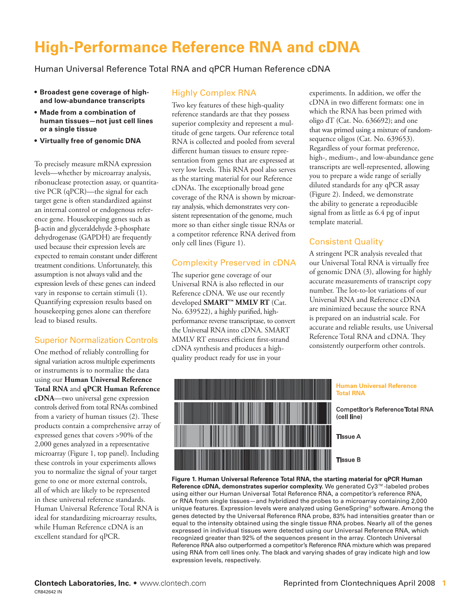# **High-Performance Reference RNA and cDNA**

Human Universal Reference Total RNA and qPCR Human Reference cDNA

- **• Broadest gene coverage of highand low-abundance transcripts**
- **• Made from a combination of human tissues—not just cell lines or a single tissue**
- **• Virtually free of genomic DNA**

To precisely measure mRNA expression levels—whether by microarray analysis, ribonuclease protection assay, or quantitative PCR (qPCR)—the signal for each target gene is often standardized against an internal control or endogenous reference gene. Housekeeping genes such as β-actin and glyceraldehyde 3-phosphate dehydrogenase (GAPDH) are frequently used because their expression levels are expected to remain constant under different treatment conditions. Unfortunately, this assumption is not always valid and the expression levels of these genes can indeed vary in response to certain stimuli (1). Quantifying expression results based on housekeeping genes alone can therefore lead to biased results.

## Superior Normalization Controls

One method of reliably controlling for signal variation across multiple experiments or instruments is to normalize the data using our **Human Universal Reference Total RNA** and **qPCR Human Reference cDNA**—two universal gene expression controls derived from total RNAs combined from a variety of human tissues (2). These products contain a comprehensive array of expressed genes that covers >90% of the 2,000 genes analyzed in a representative microarray (Figure 1, top panel). Including these controls in your experiments allows you to normalize the signal of your target gene to one or more external controls, all of which are likely to be represented in these universal reference standards. Human Universal Reference Total RNA is ideal for standardizing microarray results, while Human Reference cDNA is an excellent standard for qPCR.

#### Highly Complex RNA

Two key features of these high-quality reference standards are that they possess superior complexity and represent a multitude of gene targets. Our reference total RNA is collected and pooled from several different human tissues to ensure representation from genes that are expressed at very low levels. This RNA pool also serves as the starting material for our Reference cDNAs. The exceptionally broad gene coverage of the RNA is shown by microarray analysis, which demonstrates very consistent representation of the genome, much more so than either single tissue RNAs or a competitor reference RNA derived from only cell lines (Figure 1).

### Complexity Preserved in cDNA

The superior gene coverage of our Universal RNA is also reflected in our Reference cDNA. We use our recently developed **SMART™ MMLV RT** (Cat. No. 639522), a highly purified, highperformance reverse transcriptase, to convert the Universal RNA into cDNA. SMART MMLV RT ensures efficient first-strand cDNA synthesis and produces a highquality product ready for use in your

experiments. In addition, we offer the cDNA in two different formats: one in which the RNA has been primed with oligo dT (Cat. No. 636692); and one that was primed using a mixture of randomsequence oligos (Cat. No. 639653). Regardless of your format preference, high-, medium-, and low-abundance gene transcripts are well-represented, allowing you to prepare a wide range of serially diluted standards for any qPCR assay (Figure 2). Indeed, we demonstrate the ability to generate a reproducible signal from as little as 6.4 pg of input template material.

### Consistent Quality

A stringent PCR analysis revealed that our Universal Total RNA is virtually free of genomic DNA (3), allowing for highly accurate measurements of transcript copy number. The lot-to-lot variations of our Universal RNA and Reference cDNA are minimized because the source RNA is prepared on an industrial scale. For accurate and reliable results, use Universal Reference Total RNA and cDNA. They consistently outperform other controls.



**Figure 1. Human Universal Reference Total RNA, the starting material for qPCR Human Reference cDNA, demonstrates superior complexity.** We generated Cy3™-labeled probes using either our Human Universal Total Reference RNA, a competitor's reference RNA, or RNA from single tissues—and hybridized the probes to a microarray containing 2,000 unique features. Expression levels were analyzed using GeneSpring® software. Among the genes detected by the Universal Reference RNA probe, 83% had intensities greater than or equal to the intensity obtained using the single tissue RNA probes. Nearly all of the genes expressed in individual tissues were detected using our Universal Reference RNA, which recognized greater than 92% of the sequences present in the array. Clontech Universal Reference RNA also outperformed a competitor's Reference RNA mixture which was prepared using RNA from cell lines only. The black and varying shades of gray indicate high and low expression levels, respectively.